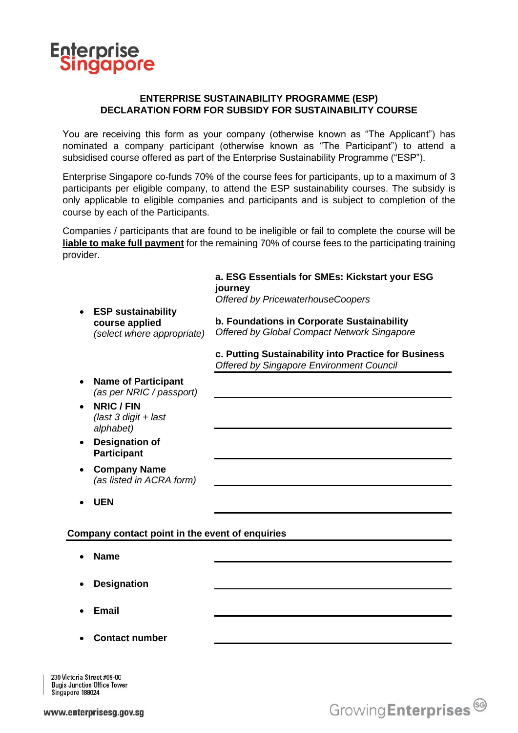

## **ENTERPRISE SUSTAINABILITY PROGRAMME (ESP) DECLARATION FORM FOR SUBSIDY FOR SUSTAINABILITY COURSE**

You are receiving this form as your company (otherwise known as "The Applicant") has nominated a company participant (otherwise known as "The Participant") to attend a subsidised course offered as part of the Enterprise Sustainability Programme ("ESP").

Enterprise Singapore co-funds 70% of the course fees for participants, up to a maximum of 3 participants per eligible company, to attend the ESP sustainability courses. The subsidy is only applicable to eligible companies and participants and is subject to completion of the course by each of the Participants.

Companies / participants that are found to be ineligible or fail to complete the course will be **liable to make full payment** for the remaining 70% of course fees to the participating training provider.

|                                                 | <b>ESP sustainability</b><br>course applied<br>(select where appropriate) | a. ESG Essentials for SMEs: Kickstart your ESG<br>journey<br><b>Offered by PricewaterhouseCoopers</b>   |
|-------------------------------------------------|---------------------------------------------------------------------------|---------------------------------------------------------------------------------------------------------|
|                                                 |                                                                           | b. Foundations in Corporate Sustainability<br>Offered by Global Compact Network Singapore               |
|                                                 |                                                                           | c. Putting Sustainability into Practice for Business<br><b>Offered by Singapore Environment Council</b> |
|                                                 | <b>Name of Participant</b><br>(as per NRIC / passport)                    |                                                                                                         |
|                                                 | <b>NRIC / FIN</b><br>(last 3 digit + last<br>alphabet)                    |                                                                                                         |
|                                                 | <b>Designation of</b><br><b>Participant</b>                               |                                                                                                         |
|                                                 | <b>Company Name</b><br>(as listed in ACRA form)                           |                                                                                                         |
|                                                 | <b>UEN</b>                                                                |                                                                                                         |
| Company contact point in the event of enquiries |                                                                           |                                                                                                         |
|                                                 | <b>Name</b>                                                               |                                                                                                         |
|                                                 | <b>Designation</b>                                                        |                                                                                                         |
|                                                 | <b>Email</b>                                                              |                                                                                                         |
|                                                 | <b>Contact number</b>                                                     |                                                                                                         |
|                                                 |                                                                           |                                                                                                         |

230 Victoria Street #09-00 **Bugis Junction Office Tower** Singapore 188024

Growing Enterprises<sup>69</sup>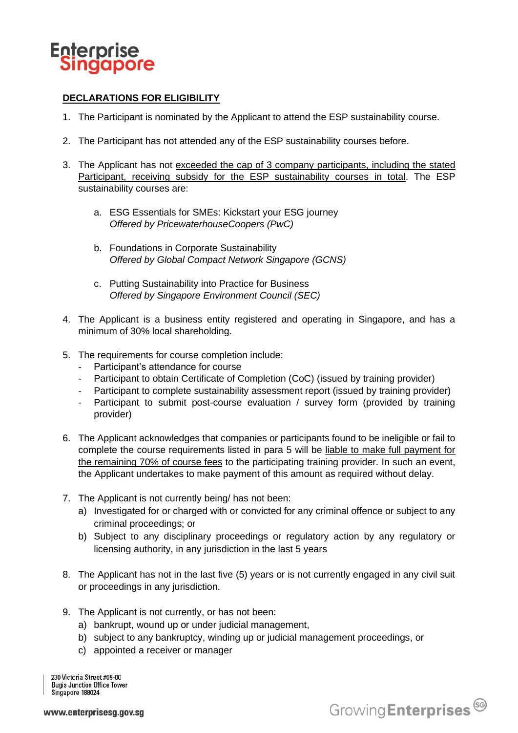

# **DECLARATIONS FOR ELIGIBILITY**

- 1. The Participant is nominated by the Applicant to attend the ESP sustainability course.
- 2. The Participant has not attended any of the ESP sustainability courses before.
- 3. The Applicant has not exceeded the cap of 3 company participants, including the stated Participant, receiving subsidy for the ESP sustainability courses in total. The ESP sustainability courses are:
	- a. ESG Essentials for SMEs: Kickstart your ESG journey *Offered by PricewaterhouseCoopers (PwC)*
	- b. Foundations in Corporate Sustainability *Offered by Global Compact Network Singapore (GCNS)*
	- c. Putting Sustainability into Practice for Business *Offered by Singapore Environment Council (SEC)*
- 4. The Applicant is a business entity registered and operating in Singapore, and has a minimum of 30% local shareholding.
- 5. The requirements for course completion include:
	- Participant's attendance for course
	- Participant to obtain Certificate of Completion (CoC) (issued by training provider)
	- Participant to complete sustainability assessment report (issued by training provider)
	- Participant to submit post-course evaluation / survey form (provided by training provider)
- 6. The Applicant acknowledges that companies or participants found to be ineligible or fail to complete the course requirements listed in para 5 will be liable to make full payment for the remaining 70% of course fees to the participating training provider. In such an event, the Applicant undertakes to make payment of this amount as required without delay.
- 7. The Applicant is not currently being/ has not been:
	- a) Investigated for or charged with or convicted for any criminal offence or subject to any criminal proceedings; or
	- b) Subject to any disciplinary proceedings or regulatory action by any regulatory or licensing authority, in any jurisdiction in the last 5 years
- 8. The Applicant has not in the last five (5) years or is not currently engaged in any civil suit or proceedings in any jurisdiction.
- 9. The Applicant is not currently, or has not been:
	- a) bankrupt, wound up or under judicial management,
	- b) subject to any bankruptcy, winding up or judicial management proceedings, or
	- c) appointed a receiver or manager

230 Victoria Street #09-00 **Bugis Junction Office Tower** Singapore 188024

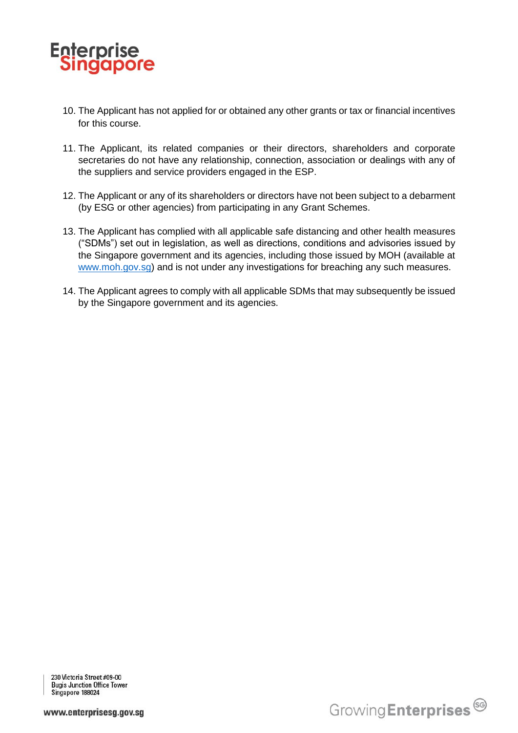

- 10. The Applicant has not applied for or obtained any other grants or tax or financial incentives for this course.
- 11. The Applicant, its related companies or their directors, shareholders and corporate secretaries do not have any relationship, connection, association or dealings with any of the suppliers and service providers engaged in the ESP.
- 12. The Applicant or any of its shareholders or directors have not been subject to a debarment (by ESG or other agencies) from participating in any Grant Schemes.
- 13. The Applicant has complied with all applicable safe distancing and other health measures ("SDMs") set out in legislation, as well as directions, conditions and advisories issued by the Singapore government and its agencies, including those issued by MOH (available at [www.moh.gov.sg\)](about:blank) and is not under any investigations for breaching any such measures.
- 14. The Applicant agrees to comply with all applicable SDMs that may subsequently be issued by the Singapore government and its agencies.

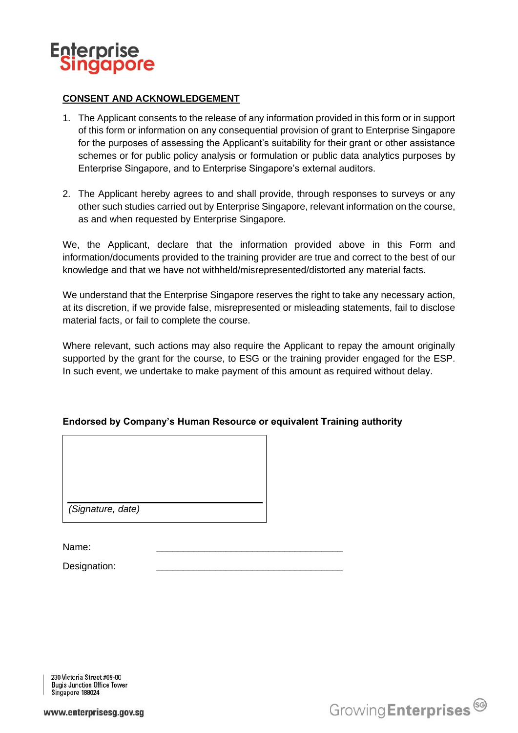

### **CONSENT AND ACKNOWLEDGEMENT**

- 1. The Applicant consents to the release of any information provided in this form or in support of this form or information on any consequential provision of grant to Enterprise Singapore for the purposes of assessing the Applicant's suitability for their grant or other assistance schemes or for public policy analysis or formulation or public data analytics purposes by Enterprise Singapore, and to Enterprise Singapore's external auditors.
- 2. The Applicant hereby agrees to and shall provide, through responses to surveys or any other such studies carried out by Enterprise Singapore, relevant information on the course, as and when requested by Enterprise Singapore.

We, the Applicant, declare that the information provided above in this Form and information/documents provided to the training provider are true and correct to the best of our knowledge and that we have not withheld/misrepresented/distorted any material facts.

We understand that the Enterprise Singapore reserves the right to take any necessary action, at its discretion, if we provide false, misrepresented or misleading statements, fail to disclose material facts, or fail to complete the course.

Where relevant, such actions may also require the Applicant to repay the amount originally supported by the grant for the course, to ESG or the training provider engaged for the ESP. In such event, we undertake to make payment of this amount as required without delay.

### **Endorsed by Company's Human Resource or equivalent Training authority**

*(Signature, date)*

Name: \_\_\_\_\_\_\_\_\_\_\_\_\_\_\_\_\_\_\_\_\_\_\_\_\_\_\_\_\_\_\_\_\_\_\_

Designation:

230 Victoria Street #09-00 **Bugis Junction Office Tower** Singapore 188024